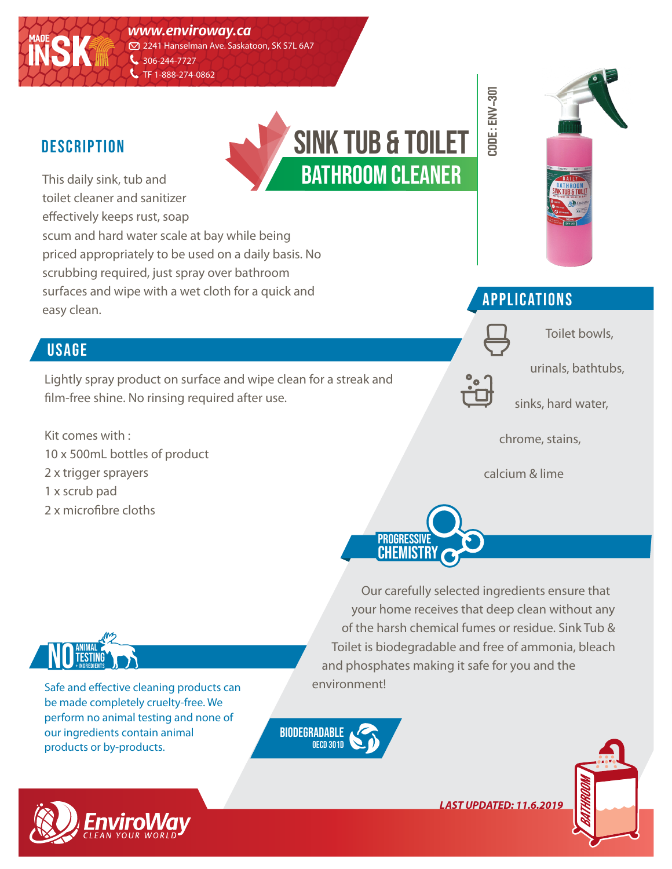*www.enviroway.ca*

2241 Hanselman Ave. Saskatoon, SK S7L 6A7 306-244-7727

C TF 1-888-274-0862

### **DESCRIPTION**

**MADE**

**INSK**

This daily sink, tub and toilet cleaner and sanitizer effectively keeps rust, soap scum and hard water scale at bay while being priced appropriately to be used on a daily basis. No scrubbing required, just spray over bathroom surfaces and wipe with a wet cloth for a quick and easy clean.

### **USAGE**

Lightly spray product on surface and wipe clean for a streak and film-free shine. No rinsing required after use.

Kit comes with : 10 x 500mL bottles of product 2 x trigger sprayers 1 x scrub pad 2 x microfibre cloths





Toilet bowls,



**CODE : env-301**

urinals, bathtubs,

sinks, hard water,

chrome, stains,

calcium & lime



Our carefully selected ingredients ensure that your home receives that deep clean without any of the harsh chemical fumes or residue. Sink Tub & Toilet is biodegradable and free of ammonia, bleach and phosphates making it safe for you and the environment!



Safe and effective cleaning products can be made completely cruelty-free. We perform no animal testing and none of our ingredients contain animal products or by-products.